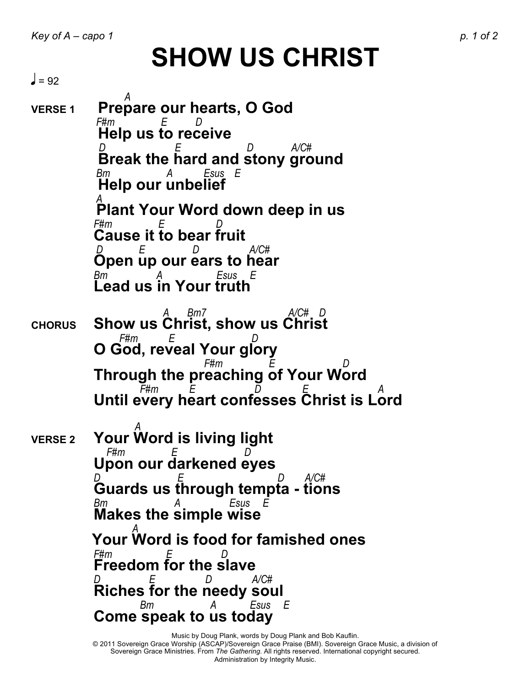## **SHOW US CHRIST**

 $\vert$  = 92

 *A* **VERSE 1 Prepare our hearts, O God** *F#m E D* **Help us to receive**  *D E D A/C#* **Break the hard and stony ground** *Bm A Esus E*  **Help our unbelief** *A*  **Plant Your Word down deep in us** *F#m E D* **Cause it to bear fruit** *D E D A/C#* **Open up our ears to hear** *Bm A Esus E*  **Lead us in Your truth**  *A Bm7 A/C# D* **CHORUS Show us Christ, show us Christ** *F#m E D*  **O God, reveal Your glory** *F#m E D*  **Through the preaching of Your Word**  *F#m E D E A*  **Until every heart confesses Christ is Lord** *A A <i>A <i>x***</del> VERSE <sup>2</sup> Your Word is living light** *F*#*m* **Upon our darkened eyes**

*D E D A/C#* **Guards us through tempta - tions** *Bm A Esus E*  **Makes the simple wise**  *A*  **Your Word is food for famished ones** *F#m E D* **Freedom for the slave** *D E D A/C#* **Riches for the needy soul**  *Bm A Esus E*  **Come speak to us today**

Music by Doug Plank, words by Doug Plank and Bob Kauflin.

© 2011 Sovereign Grace Worship (ASCAP)/Sovereign Grace Praise (BMI). Sovereign Grace Music, a division of Sovereign Grace Ministries. From *The Gathering*. All rights reserved. International copyright secured. Administration by Integrity Music.